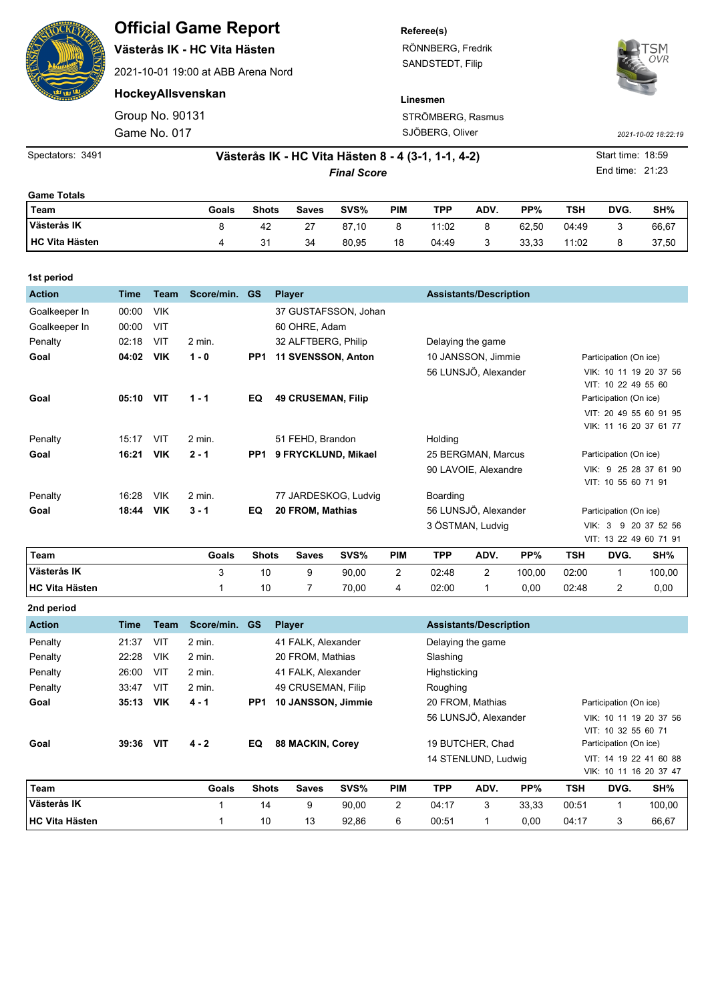|  | <b>Official Game Report</b>        | Referee(s)        |                     |
|--|------------------------------------|-------------------|---------------------|
|  | Västerås IK - HC Vita Hästen       | RÖNNBERG, Fredrik | OVR                 |
|  | 2021-10-01 19:00 at ABB Arena Nord | SANDSTEDT, Filip  |                     |
|  | HockeyAllsvenskan                  | Linesmen          |                     |
|  | Group No. 90131                    | STRÖMBERG, Rasmus |                     |
|  | Game No. 017                       | SJÖBERG, Oliver   | 2021-10-02 18:22:19 |

*Final Score* Spectators: 3491 **1892 1893 - 1894 - Västerås IK - HC Vita Hästen 8 - 4 (3-1, 1-1, 4-2)** Start time: 18:59 - Start time: 18:59 End time: 21:23 **Game Totals**

| Team                  | Goals | <b>Shots</b> | Saves | SVS%  | PIM | TPP   | ADV.    | PP%   | TSH   | DVG. | SH%   |
|-----------------------|-------|--------------|-------|-------|-----|-------|---------|-------|-------|------|-------|
| Västerås IK           |       | 42           | 27    | 87,10 | 8   | 11:02 | 8       | 62.50 | 04:49 |      | 66,67 |
| <b>HC Vita Hästen</b> |       | ، ج<br>J.    | 34    | 80,95 | 18  | 04:49 | ◠<br>رب | 33,33 | 11:02 |      | 37,50 |

| 1st period            |             |             |            |                 |                           |       |                |                               |                      |        |                        |                        |                        |  |  |
|-----------------------|-------------|-------------|------------|-----------------|---------------------------|-------|----------------|-------------------------------|----------------------|--------|------------------------|------------------------|------------------------|--|--|
| <b>Action</b>         | <b>Time</b> | <b>Team</b> | Score/min. | <b>GS</b>       | <b>Player</b>             |       |                | <b>Assistants/Description</b> |                      |        |                        |                        |                        |  |  |
| Goalkeeper In         | 00:00       | <b>VIK</b>  |            |                 | 37 GUSTAFSSON, Johan      |       |                |                               |                      |        |                        |                        |                        |  |  |
| Goalkeeper In         | 00:00       | VIT         |            |                 | 60 OHRE, Adam             |       |                |                               |                      |        |                        |                        |                        |  |  |
| Penalty               | 02:18       | VIT         | 2 min.     |                 | 32 ALFTBERG, Philip       |       |                | Delaying the game             |                      |        |                        |                        |                        |  |  |
| Goal                  | 04:02       | <b>VIK</b>  | $1 - 0$    | PP <sub>1</sub> | 11 SVENSSON, Anton        |       |                | 10 JANSSON, Jimmie            |                      |        | Participation (On ice) |                        |                        |  |  |
|                       |             |             |            |                 |                           |       |                |                               | 56 LUNSJÖ, Alexander |        |                        |                        | VIK: 10 11 19 20 37 56 |  |  |
|                       |             |             |            |                 |                           |       |                |                               |                      |        |                        | VIT: 10 22 49 55 60    |                        |  |  |
| Goal                  | 05:10       | <b>VIT</b>  | $1 - 1$    | EQ              | <b>49 CRUSEMAN, Filip</b> |       |                |                               |                      |        |                        | Participation (On ice) |                        |  |  |
|                       |             |             |            |                 |                           |       |                |                               |                      |        |                        |                        | VIT: 20 49 55 60 91 95 |  |  |
|                       | 15:17       | VIT         | 2 min.     |                 | 51 FEHD, Brandon          |       |                |                               |                      |        |                        |                        | VIK: 11 16 20 37 61 77 |  |  |
| Penalty               |             |             |            |                 |                           |       |                | Holding                       |                      |        |                        |                        |                        |  |  |
| Goal                  | 16:21       | <b>VIK</b>  | $2 - 1$    | PP <sub>1</sub> | 9 FRYCKLUND, Mikael       |       |                |                               | 25 BERGMAN, Marcus   |        | Participation (On ice) |                        |                        |  |  |
|                       |             |             |            |                 |                           |       |                |                               | 90 LAVOIE, Alexandre |        |                        |                        | VIK: 9 25 28 37 61 90  |  |  |
|                       |             |             |            |                 |                           |       |                |                               |                      |        |                        | VIT: 10 55 60 71 91    |                        |  |  |
| Penalty               | 16:28       | <b>VIK</b>  | $2$ min.   |                 | 77 JARDESKOG, Ludvig      |       |                | Boarding                      |                      |        |                        |                        |                        |  |  |
| Goal                  | 18:44       | <b>VIK</b>  | $3 - 1$    | EQ              | 20 FROM, Mathias          |       |                | 56 LUNSJÖ, Alexander          |                      |        | Participation (On ice) |                        |                        |  |  |
|                       |             |             |            |                 |                           |       |                |                               | 3 ÖSTMAN, Ludvig     |        | VIK:                   | 3                      | 9 20 37 52 56          |  |  |
|                       |             |             |            |                 |                           |       |                |                               |                      |        |                        |                        | VIT: 13 22 49 60 71 91 |  |  |
| Team                  |             |             | Goals      | <b>Shots</b>    | <b>Saves</b>              | SVS%  | <b>PIM</b>     | <b>TPP</b>                    | ADV.                 | PP%    | <b>TSH</b>             | DVG.                   | SH%                    |  |  |
| Västerås IK           |             |             | 3          | 10              | 9                         | 90,00 | $\overline{2}$ | 02:48                         | $\overline{2}$       | 100,00 | 02:00                  | 1                      | 100,00                 |  |  |
| <b>HC Vita Hästen</b> |             |             | 1          | 10              | 7                         | 70,00 | 4              | 02:00                         | 1                    | 0,00   | 02:48                  | 2                      | 0,00                   |  |  |

| 2nd period            |       |             |            |                 |                         |          |                               |            |                      |       |                        |                        |                        |  |
|-----------------------|-------|-------------|------------|-----------------|-------------------------|----------|-------------------------------|------------|----------------------|-------|------------------------|------------------------|------------------------|--|
| <b>Action</b>         | Time  | <b>Team</b> | Score/min. | <b>GS</b>       | <b>Player</b>           |          | <b>Assistants/Description</b> |            |                      |       |                        |                        |                        |  |
| Penalty               | 21:37 | VIT         | $2$ min.   |                 | 41 FALK. Alexander      |          | Delaying the game             |            |                      |       |                        |                        |                        |  |
| Penalty               | 22:28 | <b>VIK</b>  | $2$ min.   |                 | 20 FROM, Mathias        | Slashing |                               |            |                      |       |                        |                        |                        |  |
| Penalty               | 26:00 | VIT         | $2$ min.   |                 | 41 FALK. Alexander      |          | Highsticking                  |            |                      |       |                        |                        |                        |  |
| Penalty               | 33:47 | VIT         | $2$ min.   |                 | 49 CRUSEMAN, Filip      |          | Roughing                      |            |                      |       |                        |                        |                        |  |
| Goal                  | 35:13 | <b>VIK</b>  | $4 - 1$    | PP <sub>1</sub> | 10 JANSSON, Jimmie      |          |                               |            | 20 FROM, Mathias     |       | Participation (On ice) |                        |                        |  |
|                       |       |             |            |                 |                         |          |                               |            | 56 LUNSJÖ, Alexander |       |                        |                        | VIK: 10 11 19 20 37 56 |  |
|                       |       |             |            |                 |                         |          |                               |            |                      |       |                        | VIT: 10 32 55 60 71    |                        |  |
| Goal                  | 39:36 | <b>VIT</b>  | $4 - 2$    | EQ              | <b>88 MACKIN, Corey</b> |          |                               |            | 19 BUTCHER, Chad     |       |                        | Participation (On ice) |                        |  |
|                       |       |             |            |                 |                         |          |                               |            | 14 STENLUND, Ludwig  |       |                        |                        | VIT: 14 19 22 41 60 88 |  |
|                       |       |             |            |                 |                         |          |                               |            |                      |       |                        |                        | VIK: 10 11 16 20 37 47 |  |
| Team                  |       |             | Goals      | <b>Shots</b>    | <b>Saves</b>            | SVS%     | <b>PIM</b>                    | <b>TPP</b> | ADV.                 | PP%   | <b>TSH</b>             | DVG.                   | SH%                    |  |
| Västerås IK           |       |             |            | 14              | 9                       | 90,00    | $\overline{2}$                | 04:17      | 3                    | 33,33 | 00:51                  |                        | 100,00                 |  |
| <b>HC Vita Hästen</b> |       |             |            | 10              | 13                      | 92,86    | 6                             | 00:51      |                      | 0,00  | 04:17                  | 3                      | 66,67                  |  |